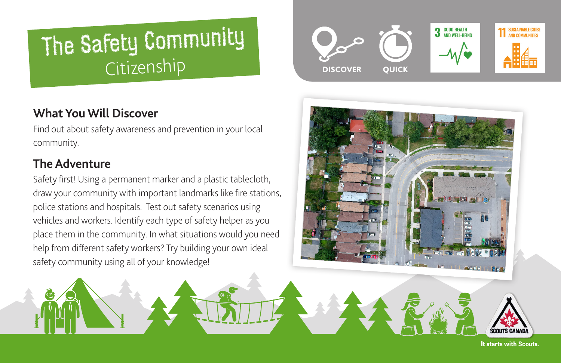# The Safety Community Citizenship

# **What You Will Discover**

Find out about safety awareness and prevention in your local community.

# **The Adventure**

Safety first! Using a permanent marker and a plastic tablecloth, draw your community with important landmarks like fire stations, police stations and hospitals. Test out safety scenarios using vehicles and workers. Identify each type of safety helper as you place them in the community. In what situations would you need help from different safety workers? Try building your own ideal safety community using all of your knowledge!





It starts with Scouts.